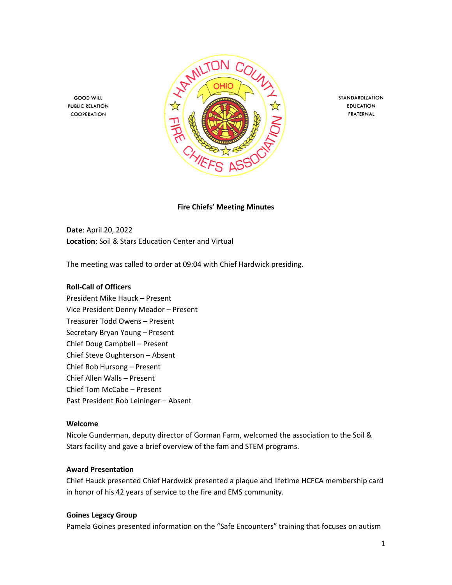

STANDARDIZATION **EDUCATION** FRATERNAL

**Fire Chiefs' Meeting Minutes**

**Date**: April 20, 2022 **Location**: Soil & Stars Education Center and Virtual

The meeting was called to order at 09:04 with Chief Hardwick presiding.

#### **Roll-Call of Officers**

**GOOD WILL** 

**PUBLIC RELATION** 

COOPERATION

President Mike Hauck – Present Vice President Denny Meador – Present Treasurer Todd Owens – Present Secretary Bryan Young – Present Chief Doug Campbell – Present Chief Steve Oughterson – Absent Chief Rob Hursong – Present Chief Allen Walls – Present Chief Tom McCabe – Present Past President Rob Leininger – Absent

#### **Welcome**

Nicole Gunderman, deputy director of Gorman Farm, welcomed the association to the Soil & Stars facility and gave a brief overview of the fam and STEM programs.

#### **Award Presentation**

Chief Hauck presented Chief Hardwick presented a plaque and lifetime HCFCA membership card in honor of his 42 years of service to the fire and EMS community.

#### **Goines Legacy Group**

Pamela Goines presented information on the "Safe Encounters" training that focuses on autism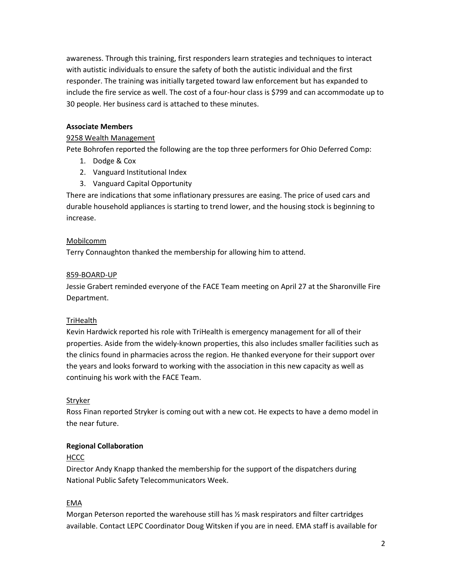awareness. Through this training, first responders learn strategies and techniques to interact with autistic individuals to ensure the safety of both the autistic individual and the first responder. The training was initially targeted toward law enforcement but has expanded to include the fire service as well. The cost of a four-hour class is \$799 and can accommodate up to 30 people. Her business card is attached to these minutes.

#### **Associate Members**

#### 9258 Wealth Management

Pete Bohrofen reported the following are the top three performers for Ohio Deferred Comp:

- 1. Dodge & Cox
- 2. Vanguard Institutional Index
- 3. Vanguard Capital Opportunity

There are indications that some inflationary pressures are easing. The price of used cars and durable household appliances is starting to trend lower, and the housing stock is beginning to increase.

### Mobilcomm

Terry Connaughton thanked the membership for allowing him to attend.

#### 859-BOARD-UP

Jessie Grabert reminded everyone of the FACE Team meeting on April 27 at the Sharonville Fire Department.

#### **TriHealth**

Kevin Hardwick reported his role with TriHealth is emergency management for all of their properties. Aside from the widely-known properties, this also includes smaller facilities such as the clinics found in pharmacies across the region. He thanked everyone for their support over the years and looks forward to working with the association in this new capacity as well as continuing his work with the FACE Team.

## Stryker

Ross Finan reported Stryker is coming out with a new cot. He expects to have a demo model in the near future.

#### **Regional Collaboration**

## HCCC

Director Andy Knapp thanked the membership for the support of the dispatchers during National Public Safety Telecommunicators Week.

## EMA

Morgan Peterson reported the warehouse still has  $\frac{1}{2}$  mask respirators and filter cartridges available. Contact LEPC Coordinator Doug Witsken if you are in need. EMA staff is available for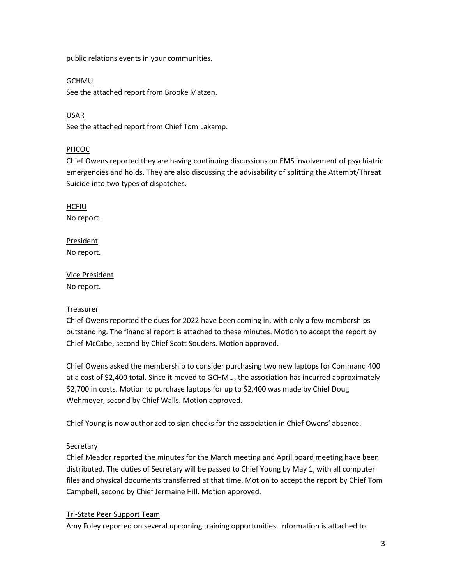public relations events in your communities.

#### **GCHMU**

See the attached report from Brooke Matzen.

USAR See the attached report from Chief Tom Lakamp.

## PHCOC

Chief Owens reported they are having continuing discussions on EMS involvement of psychiatric emergencies and holds. They are also discussing the advisability of splitting the Attempt/Threat Suicide into two types of dispatches.

HCFIU No report.

President No report.

Vice President No report.

## Treasurer

Chief Owens reported the dues for 2022 have been coming in, with only a few memberships outstanding. The financial report is attached to these minutes. Motion to accept the report by Chief McCabe, second by Chief Scott Souders. Motion approved.

Chief Owens asked the membership to consider purchasing two new laptops for Command 400 at a cost of \$2,400 total. Since it moved to GCHMU, the association has incurred approximately \$2,700 in costs. Motion to purchase laptops for up to \$2,400 was made by Chief Doug Wehmeyer, second by Chief Walls. Motion approved.

Chief Young is now authorized to sign checks for the association in Chief Owens' absence.

## Secretary

Chief Meador reported the minutes for the March meeting and April board meeting have been distributed. The duties of Secretary will be passed to Chief Young by May 1, with all computer files and physical documents transferred at that time. Motion to accept the report by Chief Tom Campbell, second by Chief Jermaine Hill. Motion approved.

## Tri-State Peer Support Team

Amy Foley reported on several upcoming training opportunities. Information is attached to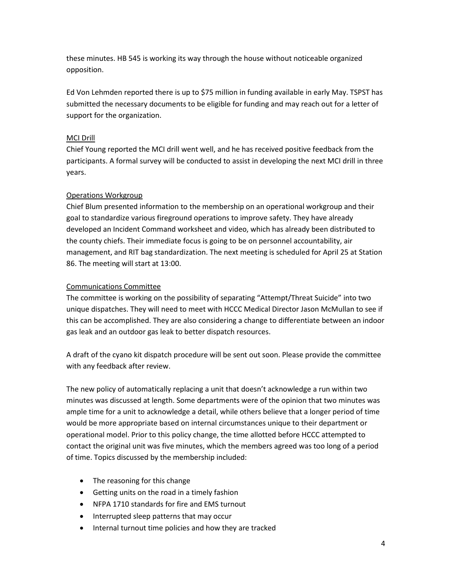these minutes. HB 545 is working its way through the house without noticeable organized opposition.

Ed Von Lehmden reported there is up to \$75 million in funding available in early May. TSPST has submitted the necessary documents to be eligible for funding and may reach out for a letter of support for the organization.

### MCI Drill

Chief Young reported the MCI drill went well, and he has received positive feedback from the participants. A formal survey will be conducted to assist in developing the next MCI drill in three years.

## Operations Workgroup

Chief Blum presented information to the membership on an operational workgroup and their goal to standardize various fireground operations to improve safety. They have already developed an Incident Command worksheet and video, which has already been distributed to the county chiefs. Their immediate focus is going to be on personnel accountability, air management, and RIT bag standardization. The next meeting is scheduled for April 25 at Station 86. The meeting will start at 13:00.

### Communications Committee

The committee is working on the possibility of separating "Attempt/Threat Suicide" into two unique dispatches. They will need to meet with HCCC Medical Director Jason McMullan to see if this can be accomplished. They are also considering a change to differentiate between an indoor gas leak and an outdoor gas leak to better dispatch resources.

A draft of the cyano kit dispatch procedure will be sent out soon. Please provide the committee with any feedback after review.

The new policy of automatically replacing a unit that doesn't acknowledge a run within two minutes was discussed at length. Some departments were of the opinion that two minutes was ample time for a unit to acknowledge a detail, while others believe that a longer period of time would be more appropriate based on internal circumstances unique to their department or operational model. Prior to this policy change, the time allotted before HCCC attempted to contact the original unit was five minutes, which the members agreed was too long of a period of time. Topics discussed by the membership included:

- The reasoning for this change
- Getting units on the road in a timely fashion
- NFPA 1710 standards for fire and EMS turnout
- Interrupted sleep patterns that may occur
- Internal turnout time policies and how they are tracked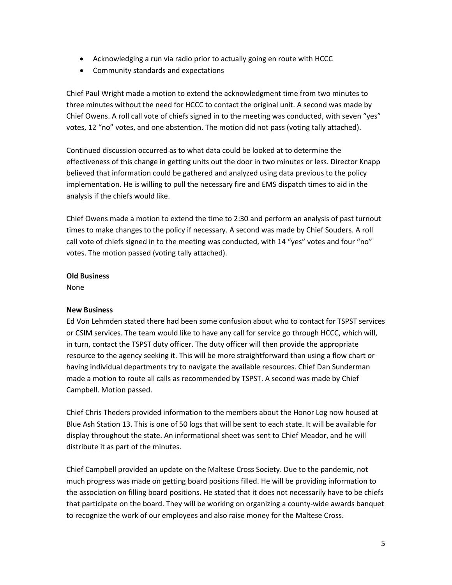- Acknowledging a run via radio prior to actually going en route with HCCC
- Community standards and expectations

Chief Paul Wright made a motion to extend the acknowledgment time from two minutes to three minutes without the need for HCCC to contact the original unit. A second was made by Chief Owens. A roll call vote of chiefs signed in to the meeting was conducted, with seven "yes" votes, 12 "no" votes, and one abstention. The motion did not pass (voting tally attached).

Continued discussion occurred as to what data could be looked at to determine the effectiveness of this change in getting units out the door in two minutes or less. Director Knapp believed that information could be gathered and analyzed using data previous to the policy implementation. He is willing to pull the necessary fire and EMS dispatch times to aid in the analysis if the chiefs would like.

Chief Owens made a motion to extend the time to 2:30 and perform an analysis of past turnout times to make changes to the policy if necessary. A second was made by Chief Souders. A roll call vote of chiefs signed in to the meeting was conducted, with 14 "yes" votes and four "no" votes. The motion passed (voting tally attached).

#### **Old Business**

None

#### **New Business**

Ed Von Lehmden stated there had been some confusion about who to contact for TSPST services or CSIM services. The team would like to have any call for service go through HCCC, which will, in turn, contact the TSPST duty officer. The duty officer will then provide the appropriate resource to the agency seeking it. This will be more straightforward than using a flow chart or having individual departments try to navigate the available resources. Chief Dan Sunderman made a motion to route all calls as recommended by TSPST. A second was made by Chief Campbell. Motion passed.

Chief Chris Theders provided information to the members about the Honor Log now housed at Blue Ash Station 13. This is one of 50 logs that will be sent to each state. It will be available for display throughout the state. An informational sheet was sent to Chief Meador, and he will distribute it as part of the minutes.

Chief Campbell provided an update on the Maltese Cross Society. Due to the pandemic, not much progress was made on getting board positions filled. He will be providing information to the association on filling board positions. He stated that it does not necessarily have to be chiefs that participate on the board. They will be working on organizing a county-wide awards banquet to recognize the work of our employees and also raise money for the Maltese Cross.